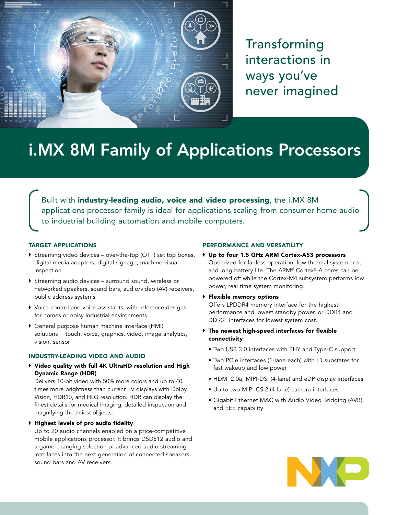

Transforming interactions in ways you've never imagined

# i.MX 8M Family of Applications Processors

Built with industry-leading audio, voice and video processing, the i.MX 8M applications processor family is ideal for applications scaling from consumer home audio to industrial building automation and mobile computers.

## TARGET APPLICATIONS

- $\triangleright$  Streaming video devices over-the-top (OTT) set top boxes, digital media adapters, digital signage, machine visual inspection
- Streaming audio devices surround sound, wireless or networked speakers, sound bars, audio/video (AV) receivers, public address systems
- Voice control and voice assistants, with reference designs for homes or noisy industrial environments
- General purpose human machine interface (HMI) solutions − touch, voice, graphics, video, image analytics, vision, sensor

#### INDUSTRY-LEADING VIDEO AND AUDIO

 Video quality with full 4K UltraHD resolution and High Dynamic Range (HDR)

Delivers 10-bit video with 50% more colors and up to 40 times more brightness than current TV displays with Dolby Vision, HDR10, and HLG resolution. HDR can display the finest details for medical imaging, detailed inspection and magnifying the tiniest objects.

#### Highest levels of pro audio fidelity

Up to 20 audio channels enabled on a price-competitive mobile applications processor. It brings DSD512 audio and a game-changing selection of advanced audio streaming interfaces into the next generation of connected speakers, sound bars and AV receivers.

#### PERFORMANCE AND VERSATILITY

- Up to four 1.5 GHz ARM Cortex-A53 processors Optimized for fanless operation, low thermal system cost and long battery life. The ARM® Cortex®-A cores can be powered off while the Cortex-M4 subsystem performs low power, real time system monitoring.
- Flexible memory options Offers LPDDR4 memory interface for the highest performance and lowest standby power, or DDR4 and DDR3L interfaces for lowest system cost.
- The newest high-speed interfaces for flexible connectivity
	- Two USB 3.0 interfaces with PHY and Type-C support
	- Two PCIe interfaces (1-lane each) with L1 substates for fast wakeup and low power
	- HDMI 2.0a, MIPI-DSI (4-lane) and eDP display interfaces
	- Up to two MIPI-CSI2 (4-lane) camera interfaces
	- Gigabit Ethernet MAC with Audio Video Bridging (AVB) and EEE capability